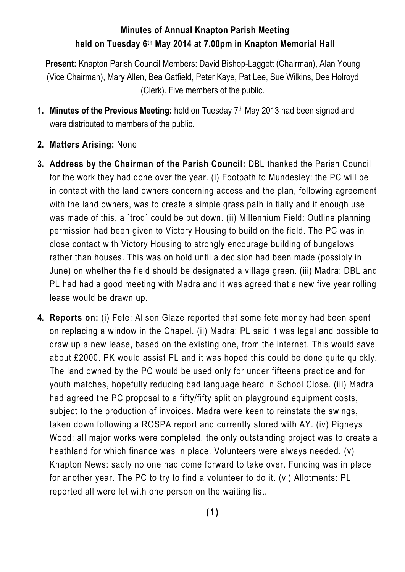## **Minutes of Annual Knapton Parish Meeting held on Tuesday 6th May 2014 at 7.00pm in Knapton Memorial Hall**

**Present:** Knapton Parish Council Members: David Bishop-Laggett (Chairman), Alan Young (Vice Chairman), Mary Allen, Bea Gatfield, Peter Kaye, Pat Lee, Sue Wilkins, Dee Holroyd (Clerk). Five members of the public.

- **1. Minutes of the Previous Meeting:** held on Tuesday 7th May 2013 had been signed and were distributed to members of the public.
- **2. Matters Arising:** None
- **3. Address by the Chairman of the Parish Council:** DBL thanked the Parish Council for the work they had done over the year. (i) Footpath to Mundesley: the PC will be in contact with the land owners concerning access and the plan, following agreement with the land owners, was to create a simple grass path initially and if enough use was made of this, a `trod` could be put down. (ii) Millennium Field: Outline planning permission had been given to Victory Housing to build on the field. The PC was in close contact with Victory Housing to strongly encourage building of bungalows rather than houses. This was on hold until a decision had been made (possibly in June) on whether the field should be designated a village green. (iii) Madra: DBL and PL had had a good meeting with Madra and it was agreed that a new five year rolling lease would be drawn up.
- **4. Reports on:** (i) Fete: Alison Glaze reported that some fete money had been spent on replacing a window in the Chapel. (ii) Madra: PL said it was legal and possible to draw up a new lease, based on the existing one, from the internet. This would save about £2000. PK would assist PL and it was hoped this could be done quite quickly. The land owned by the PC would be used only for under fifteens practice and for youth matches, hopefully reducing bad language heard in School Close. (iii) Madra had agreed the PC proposal to a fifty/fifty split on playground equipment costs, subject to the production of invoices. Madra were keen to reinstate the swings, taken down following a ROSPA report and currently stored with AY. (iv) Pigneys Wood: all major works were completed, the only outstanding project was to create a heathland for which finance was in place. Volunteers were always needed. (v) Knapton News: sadly no one had come forward to take over. Funding was in place for another year. The PC to try to find a volunteer to do it. (vi) Allotments: PL reported all were let with one person on the waiting list.